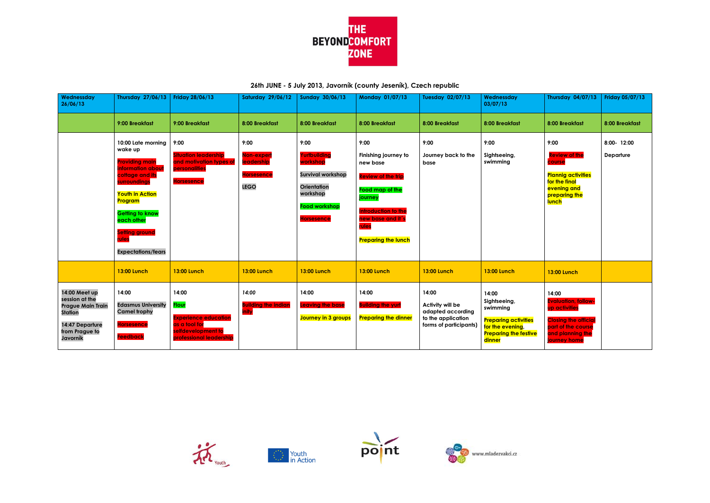

**26th JUNE - 5 July 2013, Javorník (county Jeseník), Czech republic**









| Wednessday<br>26/06/13                                                                                                         | <b>Thursday 27/06/13</b>                                                                                                                                                                                                                                   | Friday 28/06/13                                                                                                        | <b>Saturday 29/06/12</b>                                                    | Sunday 30/06/13                                                                                                                             | <b>Monday 01/07/13</b>                                                                                                                                                                 | Tuesday 02/07/13                                                                               | Wednessday<br>03/07/13                                                                                                         | <b>Thursday 04/07/13</b>                                                                                                                      | <b>Friday 05/07/13</b>   |
|--------------------------------------------------------------------------------------------------------------------------------|------------------------------------------------------------------------------------------------------------------------------------------------------------------------------------------------------------------------------------------------------------|------------------------------------------------------------------------------------------------------------------------|-----------------------------------------------------------------------------|---------------------------------------------------------------------------------------------------------------------------------------------|----------------------------------------------------------------------------------------------------------------------------------------------------------------------------------------|------------------------------------------------------------------------------------------------|--------------------------------------------------------------------------------------------------------------------------------|-----------------------------------------------------------------------------------------------------------------------------------------------|--------------------------|
|                                                                                                                                | 9:00 Breakfast                                                                                                                                                                                                                                             | 9:00 Breakfast                                                                                                         | 8:00 Breakfast                                                              | 8:00 Breakfast                                                                                                                              | 8:00 Breakfast                                                                                                                                                                         | 8:00 Breakfast                                                                                 | 8:00 Breakfast                                                                                                                 | 8:00 Breakfast                                                                                                                                | 8:00 Breakfast           |
|                                                                                                                                | 10:00 Late morning<br>wake up<br><b>Providing main</b><br>information about<br>cottage and its<br>surroundings<br><b>Youth in Action</b><br>Program<br><b>Getting to know</b><br>each other<br><b>Setting ground</b><br>rules<br><b>Expectations/fears</b> | 9:00<br><b>Situation leadership</b><br>and motivation types of<br><b>personalities</b><br><b>Horsesence</b>            | 9:00<br>Non-experi<br><b>leadership</b><br><b>Horsesence</b><br><b>LEGO</b> | 9:00<br>Yurtbuilding<br>workshop<br><b>Survival workshop</b><br><b>Orientation</b><br>workshop<br><b>Food workshop</b><br><b>Horsesence</b> | 9:00<br>Finishing journey to<br>new base<br><b>Review of the trip</b><br>Food map of the<br>journey<br>Introduction to the<br>new base and it's<br>rules<br><b>Preparing the lunch</b> | 9:00<br>Journey back to the<br>base                                                            | 9:00<br>Sightseeing,<br>swimming                                                                                               | 9:00<br><b>Review of the</b><br>course<br><b>Plannig activities</b><br>for the final<br>evening and<br>preparing the<br><b>lunch</b>          | 8:00- 12:00<br>Departure |
|                                                                                                                                | <b>13:00 Lunch</b>                                                                                                                                                                                                                                         | <b>13:00 Lunch</b>                                                                                                     | <b>13:00 Lunch</b>                                                          | <b>13:00 Lunch</b>                                                                                                                          | <b>13:00 Lunch</b>                                                                                                                                                                     | <b>13:00 Lunch</b>                                                                             | <b>13:00 Lunch</b>                                                                                                             | <b>13:00 Lunch</b>                                                                                                                            |                          |
| 14:00 Meet up<br>session at the<br><b>Prague Main Train</b><br><b>Station</b><br>14:47 Departure<br>from Prague to<br>Javorník | 14:00<br><b>Edasmus University</b><br><b>Camel trophy</b><br><b>Horsesence</b><br><b>Feedback</b>                                                                                                                                                          | 14:00<br><b>Flour</b><br><b>Experience education</b><br>as a tool for<br>selfdevelopment to<br>professional leadership | 14:00<br><b>Building the indian</b><br>inity                                | 14:00<br><b>Leaving the base</b><br>Journey in 3 groups                                                                                     | 14:00<br><b>Building the yurt</b><br><b>Preparing the dinner</b>                                                                                                                       | 14:00<br>Activity will be<br>adapted according<br>to the application<br>forms of participants) | 14:00<br>Sightseeing,<br>swimming<br><b>Preparing activities</b><br>for the evening,<br><b>Preparing the festive</b><br>dinner | 14:00<br><b>Evaluation, follow-</b><br>up activities<br><b>Closing the official</b><br>part of the course<br>and planning the<br>journey home |                          |